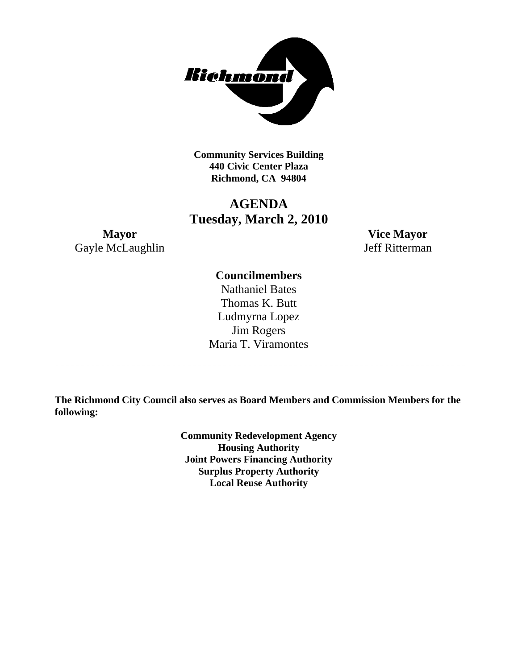

**Community Services Building 440 Civic Center Plaza Richmond, CA 94804** 

## **AGENDA Tuesday, March 2, 2010**

**Mayor Vice Mayor**  Gayle McLaughlin Jeff Ritterman

## **Councilmembers**

Nathaniel Bates Thomas K. Butt Ludmyrna Lopez Jim Rogers Maria T. Viramontes

**The Richmond City Council also serves as Board Members and Commission Members for the following:** 

> **Community Redevelopment Agency Housing Authority Joint Powers Financing Authority Surplus Property Authority Local Reuse Authority**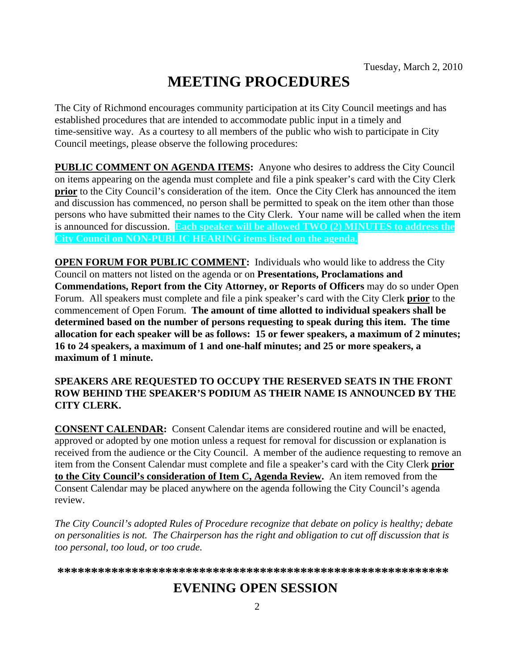# **MEETING PROCEDURES**

The City of Richmond encourages community participation at its City Council meetings and has established procedures that are intended to accommodate public input in a timely and time-sensitive way. As a courtesy to all members of the public who wish to participate in City Council meetings, please observe the following procedures:

**PUBLIC COMMENT ON AGENDA ITEMS:** Anyone who desires to address the City Council on items appearing on the agenda must complete and file a pink speaker's card with the City Clerk **prior** to the City Council's consideration of the item. Once the City Clerk has announced the item and discussion has commenced, no person shall be permitted to speak on the item other than those persons who have submitted their names to the City Clerk. Your name will be called when the item is announced for discussion. **Each speaker will be allowed TWO (2) MINUTES to address the City Council on NON-PUBLIC HEARING items listed on the agenda.** 

**OPEN FORUM FOR PUBLIC COMMENT:** Individuals who would like to address the City Council on matters not listed on the agenda or on **Presentations, Proclamations and Commendations, Report from the City Attorney, or Reports of Officers** may do so under Open Forum. All speakers must complete and file a pink speaker's card with the City Clerk **prior** to the commencement of Open Forum. **The amount of time allotted to individual speakers shall be determined based on the number of persons requesting to speak during this item. The time allocation for each speaker will be as follows: 15 or fewer speakers, a maximum of 2 minutes; 16 to 24 speakers, a maximum of 1 and one-half minutes; and 25 or more speakers, a maximum of 1 minute.** 

## **SPEAKERS ARE REQUESTED TO OCCUPY THE RESERVED SEATS IN THE FRONT ROW BEHIND THE SPEAKER'S PODIUM AS THEIR NAME IS ANNOUNCED BY THE CITY CLERK.**

**CONSENT CALENDAR:** Consent Calendar items are considered routine and will be enacted, approved or adopted by one motion unless a request for removal for discussion or explanation is received from the audience or the City Council. A member of the audience requesting to remove an item from the Consent Calendar must complete and file a speaker's card with the City Clerk **prior to the City Council's consideration of Item C, Agenda Review.** An item removed from the Consent Calendar may be placed anywhere on the agenda following the City Council's agenda review.

*The City Council's adopted Rules of Procedure recognize that debate on policy is healthy; debate on personalities is not. The Chairperson has the right and obligation to cut off discussion that is too personal, too loud, or too crude.* 

**\*\*\*\*\*\*\*\*\*\*\*\*\*\*\*\*\*\*\*\*\*\*\*\*\*\*\*\*\*\*\*\*\*\*\*\*\*\*\*\*\*\*\*\*\*\*\*\*\*\*\*\*\*\*\*\*\*\***

## **EVENING OPEN SESSION**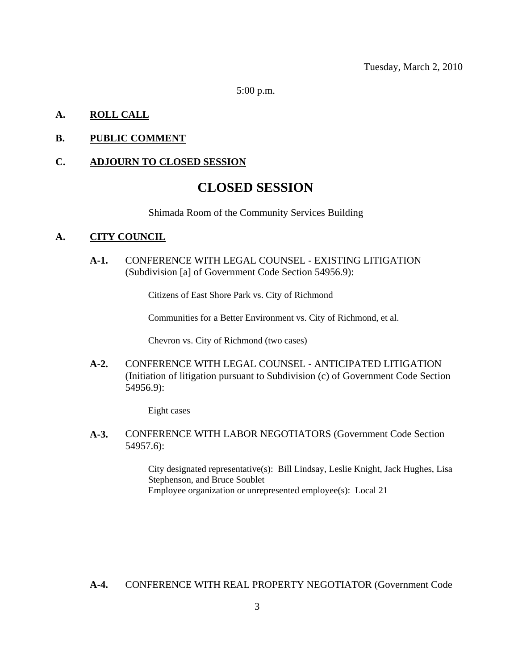5:00 p.m.

## **A. ROLL CALL**

## **B. PUBLIC COMMENT**

#### **C. ADJOURN TO CLOSED SESSION**

## **CLOSED SESSION**

Shimada Room of the Community Services Building

#### **A. CITY COUNCIL**

**A-1.** CONFERENCE WITH LEGAL COUNSEL - EXISTING LITIGATION (Subdivision [a] of Government Code Section 54956.9):

Citizens of East Shore Park vs. City of Richmond

Communities for a Better Environment vs. City of Richmond, et al.

Chevron vs. City of Richmond (two cases)

**A-2.** CONFERENCE WITH LEGAL COUNSEL - ANTICIPATED LITIGATION (Initiation of litigation pursuant to Subdivision (c) of Government Code Section 54956.9):

Eight cases

**A-3.** CONFERENCE WITH LABOR NEGOTIATORS (Government Code Section 54957.6):

> City designated representative(s): Bill Lindsay, Leslie Knight, Jack Hughes, Lisa Stephenson, and Bruce Soublet Employee organization or unrepresented employee(s): Local 21

**A-4.** CONFERENCE WITH REAL PROPERTY NEGOTIATOR (Government Code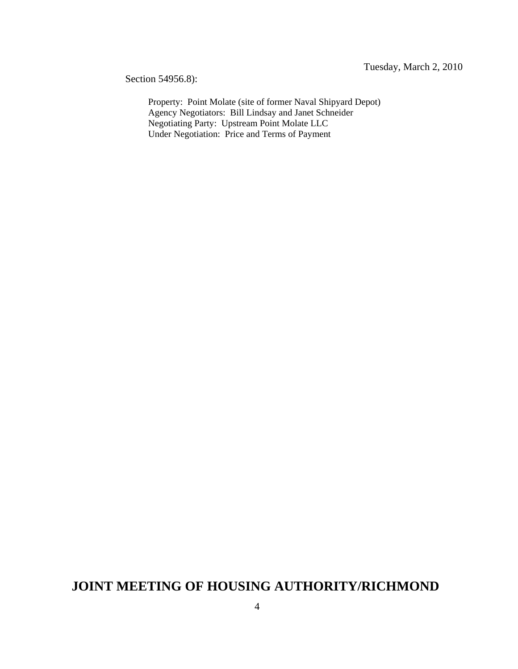Section 54956.8):

Property: Point Molate (site of former Naval Shipyard Depot) Agency Negotiators: Bill Lindsay and Janet Schneider Negotiating Party: Upstream Point Molate LLC Under Negotiation: Price and Terms of Payment

## **JOINT MEETING OF HOUSING AUTHORITY/RICHMOND**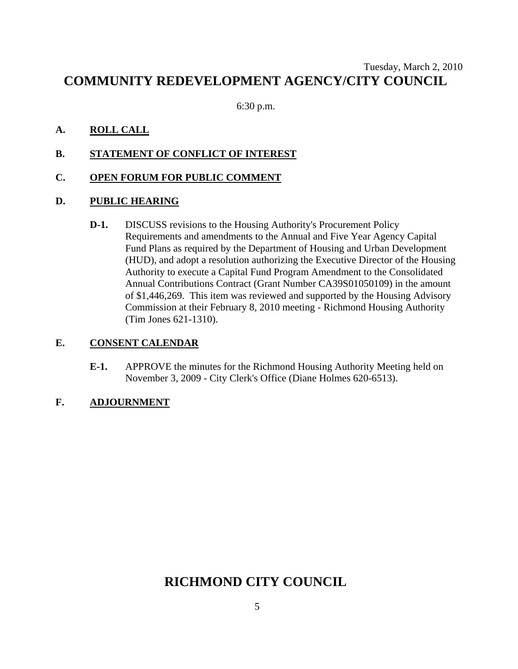## Tuesday, March 2, 2010 **COMMUNITY REDEVELOPMENT AGENCY/CITY COUNCIL**

6:30 p.m.

## **A. ROLL CALL**

**B. STATEMENT OF CONFLICT OF INTEREST**

## **C. OPEN FORUM FOR PUBLIC COMMENT**

## **D. PUBLIC HEARING**

**D-1.** DISCUSS revisions to the Housing Authority's Procurement Policy Requirements and amendments to the Annual and Five Year Agency Capital Fund Plans as required by the Department of Housing and Urban Development (HUD), and adopt a resolution authorizing the Executive Director of the Housing Authority to execute a Capital Fund Program Amendment to the Consolidated Annual Contributions Contract (Grant Number CA39S01050109) in the amount of \$1,446,269. This item was reviewed and supported by the Housing Advisory Commission at their February 8, 2010 meeting - Richmond Housing Authority (Tim Jones 621-1310).

## **E. CONSENT CALENDAR**

**E-1.** APPROVE the minutes for the Richmond Housing Authority Meeting held on November 3, 2009 - City Clerk's Office (Diane Holmes 620-6513).

## **F. ADJOURNMENT**

## **RICHMOND CITY COUNCIL**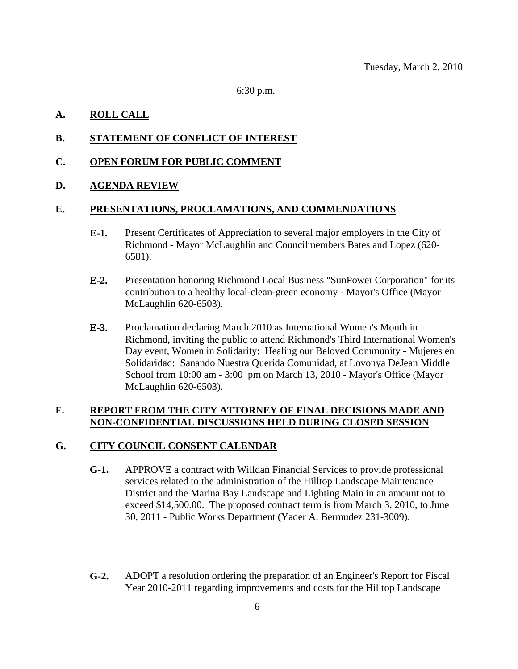6:30 p.m.

## **A. ROLL CALL**

## **B. STATEMENT OF CONFLICT OF INTEREST**

### **C. OPEN FORUM FOR PUBLIC COMMENT**

### **D. AGENDA REVIEW**

### **E. PRESENTATIONS, PROCLAMATIONS, AND COMMENDATIONS**

- **E-1.** Present Certificates of Appreciation to several major employers in the City of Richmond - Mayor McLaughlin and Councilmembers Bates and Lopez (620- 6581).
- **E-2.** Presentation honoring Richmond Local Business "SunPower Corporation" for its contribution to a healthy local-clean-green economy - Mayor's Office (Mayor McLaughlin 620-6503).
- **E-3.** Proclamation declaring March 2010 as International Women's Month in Richmond, inviting the public to attend Richmond's Third International Women's Day event, Women in Solidarity: Healing our Beloved Community - Mujeres en Solidaridad: Sanando Nuestra Querida Comunidad, at Lovonya DeJean Middle School from 10:00 am - 3:00 pm on March 13, 2010 - Mayor's Office (Mayor McLaughlin 620-6503).

## **F. REPORT FROM THE CITY ATTORNEY OF FINAL DECISIONS MADE AND NON-CONFIDENTIAL DISCUSSIONS HELD DURING CLOSED SESSION**

## **G. CITY COUNCIL CONSENT CALENDAR**

- **G-1.** APPROVE a contract with Willdan Financial Services to provide professional services related to the administration of the Hilltop Landscape Maintenance District and the Marina Bay Landscape and Lighting Main in an amount not to exceed \$14,500.00. The proposed contract term is from March 3, 2010, to June 30, 2011 - Public Works Department (Yader A. Bermudez 231-3009).
- **G-2.** ADOPT a resolution ordering the preparation of an Engineer's Report for Fiscal Year 2010-2011 regarding improvements and costs for the Hilltop Landscape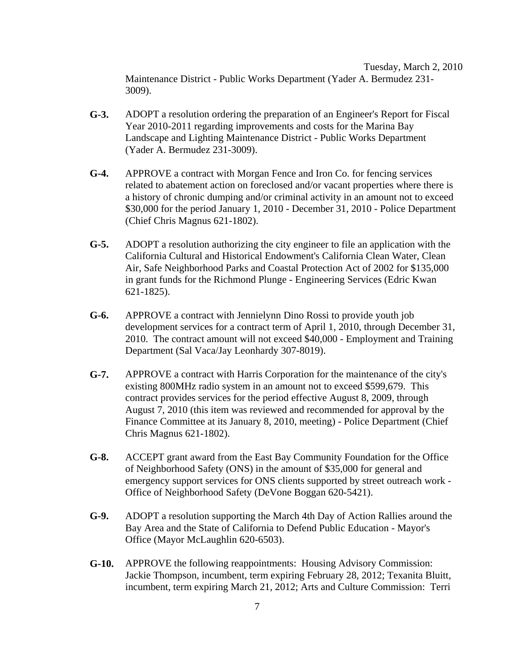Tuesday, March 2, 2010 Maintenance District - Public Works Department (Yader A. Bermudez 231- 3009).

- **G-3.** ADOPT a resolution ordering the preparation of an Engineer's Report for Fiscal Year 2010-2011 regarding improvements and costs for the Marina Bay Landscape and Lighting Maintenance District - Public Works Department (Yader A. Bermudez 231-3009).
- **G-4.** APPROVE a contract with Morgan Fence and Iron Co. for fencing services related to abatement action on foreclosed and/or vacant properties where there is a history of chronic dumping and/or criminal activity in an amount not to exceed \$30,000 for the period January 1, 2010 - December 31, 2010 - Police Department (Chief Chris Magnus 621-1802).
- **G-5.** ADOPT a resolution authorizing the city engineer to file an application with the California Cultural and Historical Endowment's California Clean Water, Clean Air, Safe Neighborhood Parks and Coastal Protection Act of 2002 for \$135,000 in grant funds for the Richmond Plunge - Engineering Services (Edric Kwan 621-1825).
- **G-6.** APPROVE a contract with Jennielynn Dino Rossi to provide youth job development services for a contract term of April 1, 2010, through December 31, 2010. The contract amount will not exceed \$40,000 - Employment and Training Department (Sal Vaca/Jay Leonhardy 307-8019).
- **G-7.** APPROVE a contract with Harris Corporation for the maintenance of the city's existing 800MHz radio system in an amount not to exceed \$599,679. This contract provides services for the period effective August 8, 2009, through August 7, 2010 (this item was reviewed and recommended for approval by the Finance Committee at its January 8, 2010, meeting) - Police Department (Chief Chris Magnus 621-1802).
- **G-8.** ACCEPT grant award from the East Bay Community Foundation for the Office of Neighborhood Safety (ONS) in the amount of \$35,000 for general and emergency support services for ONS clients supported by street outreach work - Office of Neighborhood Safety (DeVone Boggan 620-5421).
- **G-9.** ADOPT a resolution supporting the March 4th Day of Action Rallies around the Bay Area and the State of California to Defend Public Education - Mayor's Office (Mayor McLaughlin 620-6503).
- **G-10.** APPROVE the following reappointments: Housing Advisory Commission: Jackie Thompson, incumbent, term expiring February 28, 2012; Texanita Bluitt, incumbent, term expiring March 21, 2012; Arts and Culture Commission: Terri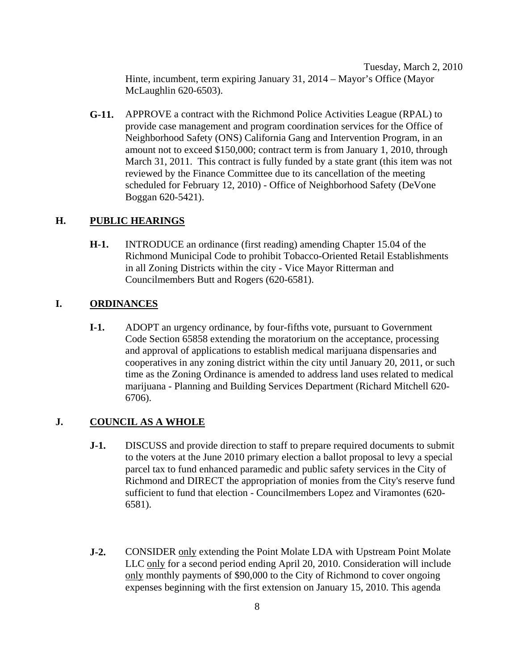Tuesday, March 2, 2010 Hinte, incumbent, term expiring January 31, 2014 – Mayor's Office (Mayor McLaughlin 620-6503).

**G-11.** APPROVE a contract with the Richmond Police Activities League (RPAL) to provide case management and program coordination services for the Office of Neighborhood Safety (ONS) California Gang and Intervention Program, in an amount not to exceed \$150,000; contract term is from January 1, 2010, through March 31, 2011. This contract is fully funded by a state grant (this item was not reviewed by the Finance Committee due to its cancellation of the meeting scheduled for February 12, 2010) - Office of Neighborhood Safety (DeVone Boggan 620-5421).

### **H. PUBLIC HEARINGS**

**H-1.** INTRODUCE an ordinance (first reading) amending Chapter 15.04 of the Richmond Municipal Code to prohibit Tobacco-Oriented Retail Establishments in all Zoning Districts within the city - Vice Mayor Ritterman and Councilmembers Butt and Rogers (620-6581).

### **I. ORDINANCES**

**I-1.** ADOPT an urgency ordinance, by four-fifths vote, pursuant to Government Code Section 65858 extending the moratorium on the acceptance, processing and approval of applications to establish medical marijuana dispensaries and cooperatives in any zoning district within the city until January 20, 2011, or such time as the Zoning Ordinance is amended to address land uses related to medical marijuana - Planning and Building Services Department (Richard Mitchell 620- 6706).

#### **J. COUNCIL AS A WHOLE**

- **J-1.** DISCUSS and provide direction to staff to prepare required documents to submit to the voters at the June 2010 primary election a ballot proposal to levy a special parcel tax to fund enhanced paramedic and public safety services in the City of Richmond and DIRECT the appropriation of monies from the City's reserve fund sufficient to fund that election - Councilmembers Lopez and Viramontes (620- 6581).
- **J-2.** CONSIDER only extending the Point Molate LDA with Upstream Point Molate LLC only for a second period ending April 20, 2010. Consideration will include only monthly payments of \$90,000 to the City of Richmond to cover ongoing expenses beginning with the first extension on January 15, 2010. This agenda